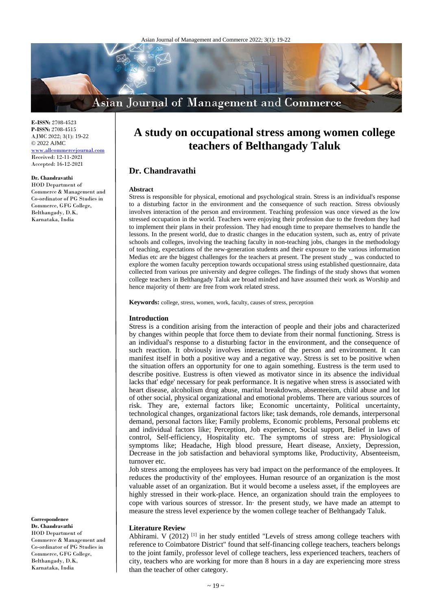

**E-ISSN:** 2708-4523 **P-ISSN:** 2708-4515 AJMC 2022; 3(1): 19-22  $@{2022}$  AJMC <www.allcommercejournal.com> Received: 12-11-2021 Accepted: 16-12-2021

## **Dr. Chandravathi**

HOD Department of Commerce & Management and Co-ordinator of PG Studies in Commerce, GFG College, Belthangady, D.K, Karnataka, India

# **A study on occupational stress among women college teachers of Belthangady Taluk**

## **Dr. Chandravathi**

#### **Abstract**

Stress is responsible for physical, emotional and psychological strain. Stress is an individual's response to a disturbing factor in the environment and the consequence of such reaction. Stress obviously involves interaction of the person and environment. Teaching profession was once viewed as the low stressed occupation in the world. Teachers were enjoying their profession due to the freedom they had to implement their plans in their profession. They had enough time to prepare themselves to handle the lessons. In the present world, due to drastic changes in the education system, such as, entry of private schools and colleges, involving the teaching faculty in non-teaching jobs, changes in the methodology of teaching, expectations of the new-generation students and their exposure to the various information Medias etc are the biggest challenges for the teachers at present. The present study \_ was conducted to explore the women faculty perception towards occupational stress using established questionnaire, data collected from various pre university and degree colleges. The findings of the study shows that women college teachers in Belthangady Taluk are broad minded and have assumed their work as Worship and hence majority of them· are free from work related stress.

**Keywords:** college, stress, women, work, faculty, causes of stress, perception

#### **Introduction**

Stress is a condition arising from the interaction of people and their jobs and characterized by changes within people that force them to deviate from their normal functioning. Stress is an individual's response to a disturbing factor in the environment, and the consequence of such reaction. It obviously involves interaction of the person and environment. It can manifest itself in both a positive way and a negative way. Stress is set to be positive when the situation offers an opportunity for one to again something. Eustress is the term used to describe positive. Eustress is often viewed as motivator since in its absence the individual lacks that' edge' necessary for peak performance. It is negative when stress is associated with heart disease, alcoholism drug abuse, marital breakdowns, absenteeism, child abuse and lot of other social, physical organizational and emotional problems. There are various sources of risk. They are, external factors like; Economic uncertainty, Political uncertainty, technological changes, organizational factors like; task demands, role demands, interpersonal demand, personal factors like; Family problems, Economic problems, Personal problems etc and individual factors like; Perception, Job experience, Social support, Belief in laws of control, Self-efficiency, Hospitality etc. The symptoms of stress are: Physiological symptoms like; Headache, High blood pressure, Heart disease, Anxiety, Depression, Decrease in the job satisfaction and behavioral symptoms like, Productivity, Absenteeism, turnover etc.

Job stress among the employees has very bad impact on the performance of the employees. It reduces the productivity of the' employees. Human resource of an organization is the most valuable asset of an organization. But it would become a useless asset, if the employees are highly stressed in their work-place. Hence, an organization should train the employees to cope with various sources of stressor. In· the present study, we have made an attempt to measure the stress level experience by the women college teacher of Belthangady Taluk.

### **Literature Review**

Abhirami. V (2012)<sup>[1]</sup> in her study entitled "Levels of stress among college teachers with reference to Coimbatore District" found that self-financing college teachers, teachers belongs to the joint family, professor level of college teachers, less experienced teachers, teachers of city, teachers who are working for more than 8 hours in a day are experiencing more stress than the teacher of other category.

**Correspondence**

**Dr. Chandravathi** HOD Department of Commerce & Management and Co-ordinator of PG Studies in Commerce, GFG College, Belthangady, D.K, Karnataka, India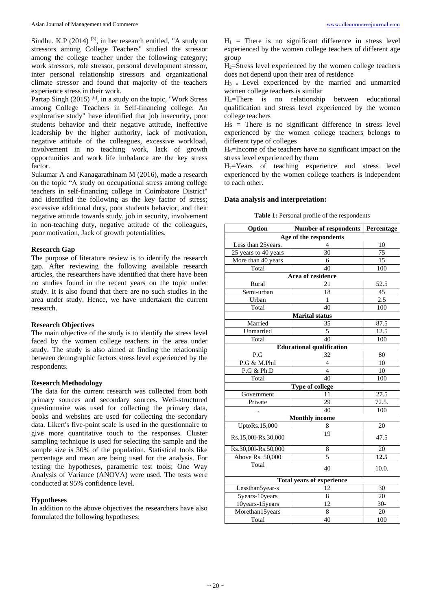Sindhu. K.P  $(2014)$ <sup>[3]</sup>, in her research entitled, "A study on stressors among College Teachers" studied the stressor among the college teacher under the following category; work stressors, role stressor, personal development stressor, inter personal relationship stressors and organizational climate stressor and found that majority of the teachers experience stress in their work.

Partap Singh (2015)<sup>[6]</sup>, in a study on the topic, "Work Stress among College Teachers in Self-financing college: An explorative study" have identified that job insecurity, poor students behavior and their negative attitude, ineffective leadership by the higher authority, lack of motivation, negative attitude of the colleagues, excessive workload, involvement in no teaching work, lack of growth opportunities and work life imbalance are the key stress factor.

Sukumar A and Kanagarathinam M (2016), made a research on the topic "A study on occupational stress among college teachers in self-financing college in Coimbatore District" and identified the following as the key factor of stress; excessive additional duty, poor students behavior, and their negative attitude towards study, job in security, involvement in non-teaching duty, negative attitude of the colleagues, poor motivation, Jack of growth potentialities.

## **Research Gap**

The purpose of literature review is to identify the research gap. After reviewing the following available research articles, the researchers have identified that there have been no studies found in the recent years on the topic under study. It is also found that there are no such studies in the area under study. Hence, we have undertaken the current research.

### **Research Objectives**

The main objective of the study is to identify the stress level faced by the women college teachers in the area under study. The study is also aimed at finding the relationship between demographic factors stress level experienced by the respondents.

#### **Research Methodology**

The data for the current research was collected from both primary sources and secondary sources. Well-structured questionnaire was used for collecting the primary data, books and websites are used for collecting the secondary data. Likert's five-point scale is used in the questionnaire to give more quantitative touch to the responses. Cluster sampling technique is used for selecting the sample and the sample size is 30% of the population. Statistical tools like percentage and mean are being used for the analysis. For testing the hypotheses, parametric test tools; One Way Analysis of Variance (ANOVA) were used. The tests were conducted at 95% confidence level.

## **Hypotheses**

In addition to the above objectives the researchers have also formulated the following hypotheses:

 $H_1$  = There is no significant difference in stress level experienced by the women college teachers of different age group

H2=Stress level experienced by the women college teachers does not depend upon their area of residence

 $H_3$  = Level experienced by the married and unmarried women college teachers is similar

H4=There is no relationship between educational qualification and stress level experienced by the women college teachers

 $Hs$  = There is no significant difference in stress level experienced by the women college teachers belongs to different type of colleges

 $H_6$ =Income of the teachers have no significant impact on the stress level experienced by them

 $H_7$ =Years of teaching experience and stress level experienced by the women college teachers is independent to each other.

### **Data analysis and interpretation:**

| Option                           | Number of respondents            | Percentage |  |
|----------------------------------|----------------------------------|------------|--|
|                                  | Age of the respondents           |            |  |
| Less than 25years.               | 4                                | 10         |  |
| 25 years to 40 years             | 30                               | 75         |  |
| More than 40 years               | 6                                | 15         |  |
| Total                            | 40                               | 100        |  |
|                                  | Area of residence                |            |  |
| Rural                            | 21                               | 52.5       |  |
| Semi-urban                       | 18                               | 45         |  |
| Urban                            | 1                                | 2.5        |  |
| Total                            | 40                               | 100        |  |
|                                  | <b>Marital</b> status            |            |  |
| Married                          | 35                               | 87.5       |  |
| Unmarried                        | 5                                | 12.5       |  |
| Total                            | 40                               | 100        |  |
|                                  | <b>Educational qualification</b> |            |  |
| P.G                              | 32                               | 80         |  |
| P.G & M.Phil                     | $\overline{4}$                   | 10         |  |
| P.G & Ph.D                       | $\overline{4}$                   | 10         |  |
| Total                            | 40                               | 100        |  |
|                                  | Type of college                  |            |  |
| Government                       | 11                               | 27.5       |  |
| Private                          | 29                               | 72.5.      |  |
|                                  | 40                               | 100        |  |
|                                  | <b>Monthly income</b>            |            |  |
| UptoRs.15,000                    | 8                                | 20         |  |
| Rs.15,001-Rs.30,000              | 19                               | 47.5       |  |
| Rs.30,001-Rs.50,000              | 8                                | 20         |  |
| Above Rs. 50,000                 | $\overline{5}$                   | 12.5       |  |
| Total                            | 40                               | 10.0.      |  |
| <b>Total years of experience</b> |                                  |            |  |
| Lessthan5year-s                  | 12                               | 30         |  |
| 5years-10years                   | 8                                | 20         |  |
| 10years-15years                  | 12                               | $30 -$     |  |
| Morethan15years                  | 8                                | 20         |  |
| Total                            | 40                               | 100        |  |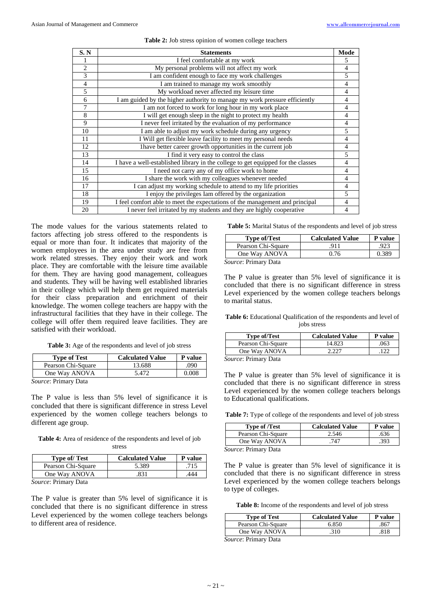| S. N           | <b>Statements</b>                                                                | Mode           |
|----------------|----------------------------------------------------------------------------------|----------------|
|                | I feel comfortable at my work                                                    | 5.             |
| $\overline{2}$ | My personal problems will not affect my work                                     | 4              |
| 3              | I am confident enough to face my work challenges                                 | 5              |
| $\overline{4}$ | I am trained to manage my work smoothly                                          | 4              |
| 5              | My workload never affected my leisure time                                       | 4              |
| 6              | I am guided by the higher authority to manage my work pressure efficiently       | 4              |
| 7              | I am not forced to work for long hour in my work place                           | 4              |
| 8              | I will get enough sleep in the night to protect my health                        | 4              |
| 9              | I never feel irritated by the evaluation of my performance                       | 4              |
| 10             | I am able to adjust my work schedule during any urgency                          | 5              |
| 11             | I Will get flexible leave facility to meet my personal needs                     | 4              |
| 12             | I have better career growth opportunities in the current job                     | 4              |
| 13             | I find it very easy to control the class                                         | 5              |
| 14             | I have a well-established library in the college to get equipped for the classes |                |
| 15             | I need not carry any of my office work to home                                   | 4              |
| 16             | I share the work with my colleagues whenever needed                              | $\overline{4}$ |
| 17             | I can adjust my working schedule to attend to my life priorities                 | 4              |
| 18             | I enjoy the privileges Iam offered by the organization                           | 5              |
| 19             | I feel comfort able to meet the expectations of the management and principal     | 4              |
| 20             | I never feel irritated by my students and they are highly cooperative            | 4              |

#### **Table 2:** Job stress opinion of women college teachers

The mode values for the various statements related to factors affecting job stress offered to the respondents is equal or more than four. It indicates that majority of the women employees in the area under study are free from work related stresses. They enjoy their work and work place. They are comfortable with the leisure time available for them. They are having good management, colleagues and students. They will be having well established libraries in their college which will help them get required materials for their class preparation and enrichment of their knowledge. The women college teachers are happy with the infrastructural facilities that they have in their college. The college will offer them required leave facilities. They are satisfied with their workload.

**Table 3:** Age of the respondents and level of job stress

| <b>Type of Test</b>    | <b>Calculated Value</b> | P value |
|------------------------|-------------------------|---------|
| Pearson Chi-Square     | 13.688                  | .090    |
| One Way ANOVA          | 5.472                   | 0.008   |
| Country Drivework Data |                         |         |

*Source*: Primary Data

The P value is less than 5% level of significance it is concluded that there is significant difference in stress Level experienced by the women college teachers belongs to different age group.

**Table 4:** Area of residence of the respondents and level of job stress

| <b>Type of/ Test</b> | <b>Calculated Value</b> | P value |
|----------------------|-------------------------|---------|
| Pearson Chi-Square   | 5.389                   | .715    |
| One Way ANOVA        | .831                    | 444     |
|                      |                         |         |

*Source*: Primary Data

The P value is greater than 5% level of significance it is concluded that there is no significant difference in stress Level experienced by the women college teachers belongs to different area of residence.

**Table 5:** Marital Status of the respondents and level of job stress

| <b>Type of/Test</b>         | <b>Calculated Value</b> | P value |
|-----------------------------|-------------------------|---------|
| Pearson Chi-Square          | .911                    | .923    |
| One Way ANOVA               | 0.76                    | 0.389   |
| <i>Source:</i> Primary Data |                         |         |

The P value is greater than 5% level of significance it is concluded that there is no significant difference in stress Level experienced by the women college teachers belongs to marital status.

**Table 6:** Educational Qualification of the respondents and level of jobs stress

| <b>Type of/Test</b>      | <b>Calculated Value</b> | P value |
|--------------------------|-------------------------|---------|
| Pearson Chi-Square       | 14.823                  | .063    |
| One Way ANOVA            | דרר ר                   |         |
| $\overline{\phantom{a}}$ |                         |         |

*Source*: Primary Data

The P value is greater than 5% level of significance it is concluded that there is no significant difference in stress Level experienced by the women college teachers belongs to Educational qualifications.

**Table 7:** Type of college of the respondents and level of job stress

| <b>Type of /Test</b> | <b>Calculated Value</b> | <b>P</b> value |
|----------------------|-------------------------|----------------|
| Pearson Chi-Square   | 2.546                   | .636           |
| One Way ANOVA        | 747                     | .393           |
| $\sim$               |                         |                |

*Source*: Primary Data

The P value is greater than 5% level of significance it is concluded that there is no significant difference in stress Level experienced by the women college teachers belongs to type of colleges.

**Table 8:** Income of the respondents and level of job stress

| <b>Type of Test</b> | <b>Calculated Value</b> | <b>P</b> value |
|---------------------|-------------------------|----------------|
| Pearson Chi-Square  | 6.850                   | 867            |
| One Way ANOVA       | 310                     | 818            |

*Source*: Primary Data